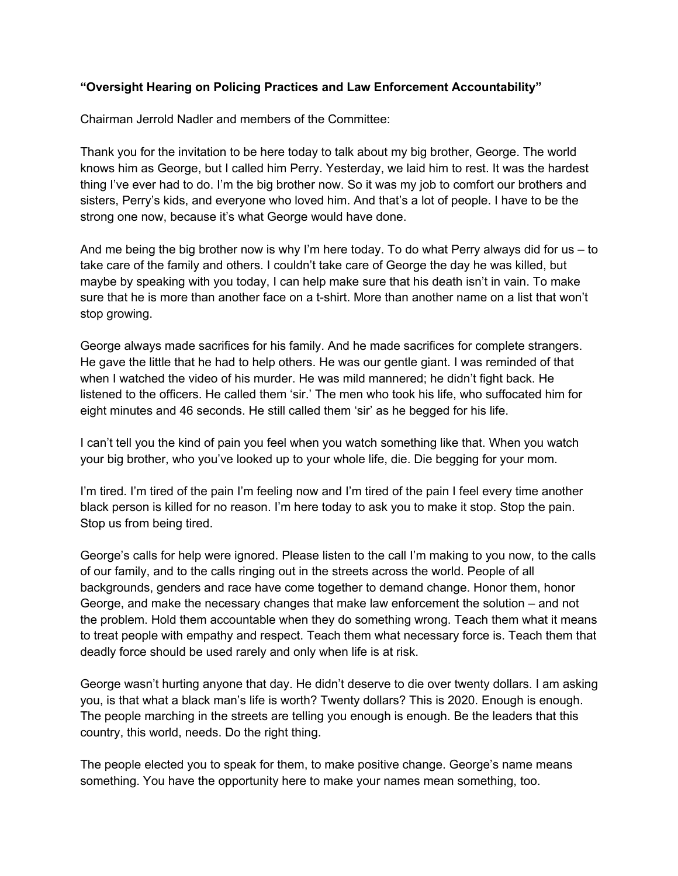## **"Oversight Hearing on Policing Practices and Law Enforcement Accountability"**

Chairman Jerrold Nadler and members of the Committee:

Thank you for the invitation to be here today to talk about my big brother, George. The world knows him as George, but I called him Perry. Yesterday, we laid him to rest. It was the hardest thing I've ever had to do. I'm the big brother now. So it was my job to comfort our brothers and sisters, Perry's kids, and everyone who loved him. And that's a lot of people. I have to be the strong one now, because it's what George would have done.

And me being the big brother now is why I'm here today. To do what Perry always did for us – to take care of the family and others. I couldn't take care of George the day he was killed, but maybe by speaking with you today, I can help make sure that his death isn't in vain. To make sure that he is more than another face on a t-shirt. More than another name on a list that won't stop growing.

George always made sacrifices for his family. And he made sacrifices for complete strangers. He gave the little that he had to help others. He was our gentle giant. I was reminded of that when I watched the video of his murder. He was mild mannered; he didn't fight back. He listened to the officers. He called them 'sir.' The men who took his life, who suffocated him for eight minutes and 46 seconds. He still called them 'sir' as he begged for his life.

I can't tell you the kind of pain you feel when you watch something like that. When you watch your big brother, who you've looked up to your whole life, die. Die begging for your mom.

I'm tired. I'm tired of the pain I'm feeling now and I'm tired of the pain I feel every time another black person is killed for no reason. I'm here today to ask you to make it stop. Stop the pain. Stop us from being tired.

George's calls for help were ignored. Please listen to the call I'm making to you now, to the calls of our family, and to the calls ringing out in the streets across the world. People of all backgrounds, genders and race have come together to demand change. Honor them, honor George, and make the necessary changes that make law enforcement the solution – and not the problem. Hold them accountable when they do something wrong. Teach them what it means to treat people with empathy and respect. Teach them what necessary force is. Teach them that deadly force should be used rarely and only when life is at risk.

George wasn't hurting anyone that day. He didn't deserve to die over twenty dollars. I am asking you, is that what a black man's life is worth? Twenty dollars? This is 2020. Enough is enough. The people marching in the streets are telling you enough is enough. Be the leaders that this country, this world, needs. Do the right thing.

The people elected you to speak for them, to make positive change. George's name means something. You have the opportunity here to make your names mean something, too.